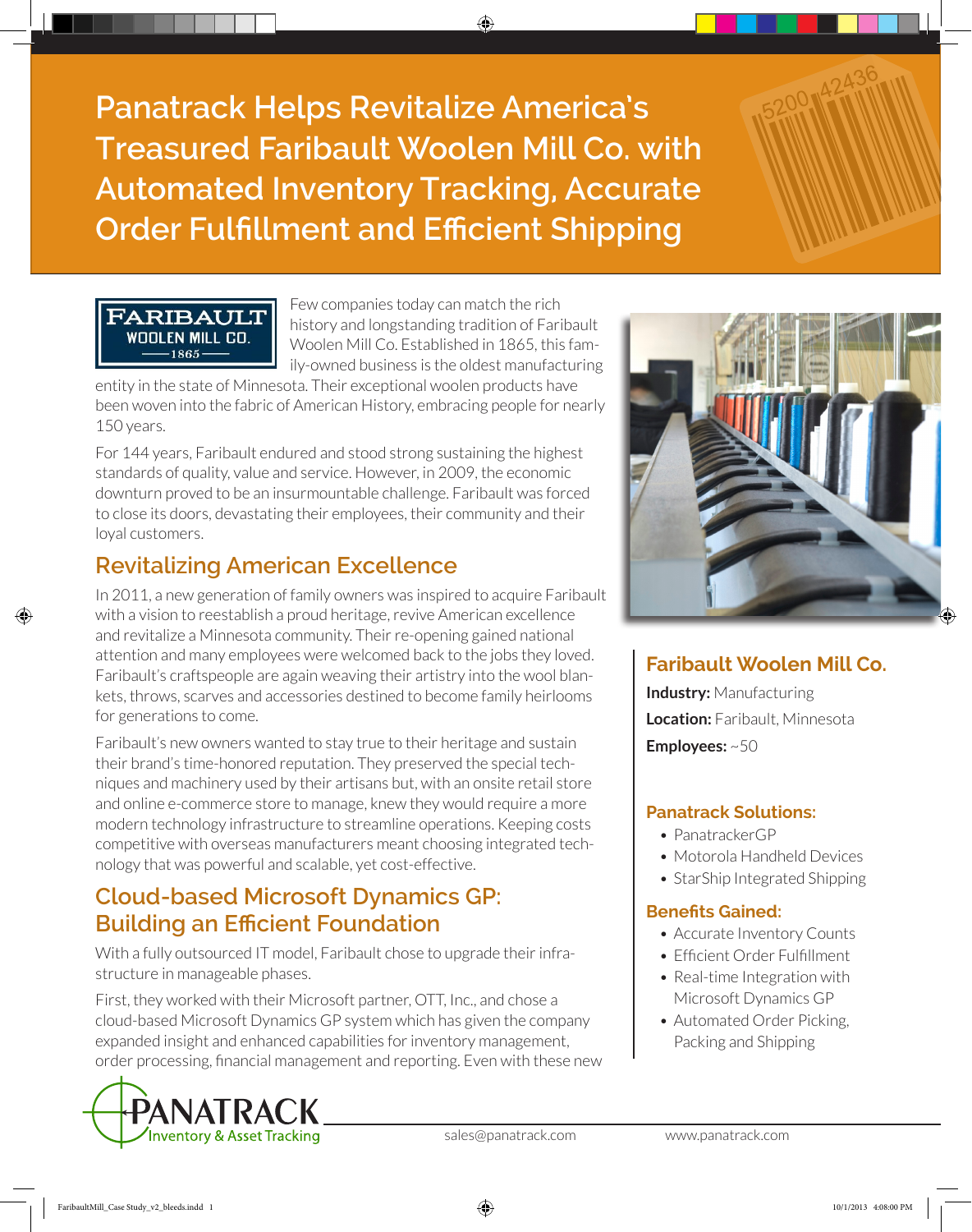**Panatrack Helps Revitalize America's Treasured Faribault Woolen Mill Co. with Automated Inventory Tracking, Accurate Order Fulfillment and Efficient Shipping** 

> Few companies today can match the rich history and longstanding tradition of Faribault Woolen Mill Co. Established in 1865, this family-owned business is the oldest manufacturing

entity in the state of Minnesota. Their exceptional woolen products have been woven into the fabric of American History, embracing people for nearly 150 years.

For 144 years, Faribault endured and stood strong sustaining the highest standards of quality, value and service. However, in 2009, the economic downturn proved to be an insurmountable challenge. Faribault was forced to close its doors, devastating their employees, their community and their loyal customers.

# **Revitalizing American Excellence**

FARIBAULT WOOLEN MILL CO. 1865

In 2011, a new generation of family owners was inspired to acquire Faribault with a vision to reestablish a proud heritage, revive American excellence and revitalize a Minnesota community. Their re-opening gained national attention and many employees were welcomed back to the jobs they loved. Faribault's craftspeople are again weaving their artistry into the wool blankets, throws, scarves and accessories destined to become family heirlooms for generations to come.

Faribault's new owners wanted to stay true to their heritage and sustain their brand's time-honored reputation. They preserved the special techniques and machinery used by their artisans but, with an onsite retail store and online e-commerce store to manage, knew they would require a more modern technology infrastructure to streamline operations. Keeping costs competitive with overseas manufacturers meant choosing integrated technology that was powerful and scalable, yet cost-effective.

# **Cloud-based Microsoft Dynamics GP: Building an Efficient Foundation**

With a fully outsourced IT model, Faribault chose to upgrade their infrastructure in manageable phases.

First, they worked with their Microsoft partner, OTT, Inc., and chose a cloud-based Microsoft Dynamics GP system which has given the company expanded insight and enhanced capabilities for inventory management, order processing, financial management and reporting. Even with these new





## **Faribault Woolen Mill Co.**

**Industry:** Manufacturing **Location:** Faribault, Minnesota **Employees:** ~50

### **Panatrack Solutions:**

- PanatrackerGP
- Motorola Handheld Devices
- StarShip Integrated Shipping

### **Benefits Gained:**

- Accurate Inventory Counts
- Efficient Order Fulfillment
- Real-time Integration with Microsoft Dynamics GP
- Automated Order Picking, Packing and Shipping